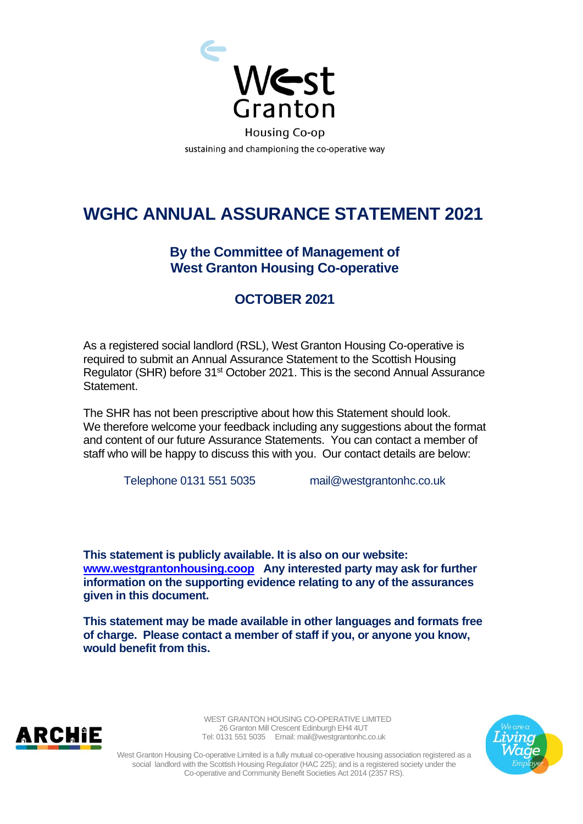

## **WGHC ANNUAL ASSURANCE STATEMENT 2021**

## **By the Committee of Management of West Granton Housing Co-operative**

## **OCTOBER 2021**

As a registered social landlord (RSL), West Granton Housing Co-operative is required to submit an Annual Assurance Statement to the Scottish Housing Regulator (SHR) before 31<sup>st</sup> October 2021. This is the second Annual Assurance Statement.

The SHR has not been prescriptive about how this Statement should look. We therefore welcome your feedback including any suggestions about the format and content of our future Assurance Statements. You can contact a member of staff who will be happy to discuss this with you. Our contact details are below:

Telephone 0131 551 5035 mail@westgrantonhc.co.uk

**This statement is publicly available. It is also on our website: [www.westgrantonhousing.coop](http://www.westgrantonhousing.coop/) Any interested party may ask for further information on the supporting evidence relating to any of the assurances given in this document.** 

**This statement may be made available in other languages and formats free of charge. Please contact a member of staff if you, or anyone you know, would benefit from this.**



 WEST GRANTON HOUSING CO-OPERATIVE LIMITED 26 Granton Mill Crescent Edinburgh EH4 4UT Tel: 0131 551 5035 Email: mail@westgrantonhc.co.uk



West Granton Housing Co-operative Limited is a fully mutual co-operative housing association registered as a social landlord with the Scottish Housing Regulator (HAC 225); and is a registered society under the Co-operative and Community Benefit Societies Act 2014 (2357 RS).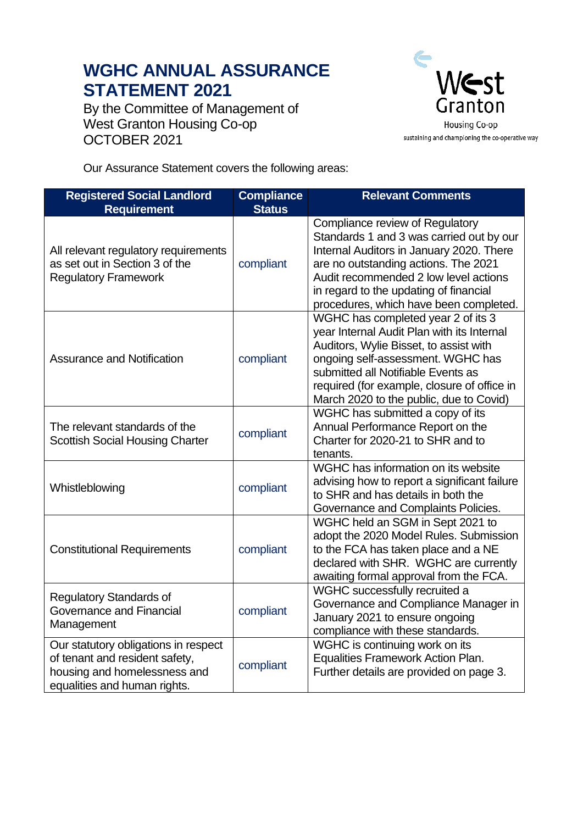## **WGHC ANNUAL ASSURANCE STATEMENT 2021**

By the Committee of Management of West Granton Housing Co-op OCTOBER 2021



Our Assurance Statement covers the following areas:

| <b>Registered Social Landlord</b><br><b>Requirement</b>                                                                                | <b>Compliance</b><br><b>Status</b> | <b>Relevant Comments</b>                                                                                                                                                                                                                                                                        |
|----------------------------------------------------------------------------------------------------------------------------------------|------------------------------------|-------------------------------------------------------------------------------------------------------------------------------------------------------------------------------------------------------------------------------------------------------------------------------------------------|
| All relevant regulatory requirements<br>as set out in Section 3 of the<br><b>Regulatory Framework</b>                                  | compliant                          | Compliance review of Regulatory<br>Standards 1 and 3 was carried out by our<br>Internal Auditors in January 2020. There<br>are no outstanding actions. The 2021<br>Audit recommended 2 low level actions<br>in regard to the updating of financial<br>procedures, which have been completed.    |
| <b>Assurance and Notification</b>                                                                                                      | compliant                          | WGHC has completed year 2 of its 3<br>year Internal Audit Plan with its Internal<br>Auditors, Wylie Bisset, to assist with<br>ongoing self-assessment. WGHC has<br>submitted all Notifiable Events as<br>required (for example, closure of office in<br>March 2020 to the public, due to Covid) |
| The relevant standards of the<br><b>Scottish Social Housing Charter</b>                                                                | compliant                          | WGHC has submitted a copy of its<br>Annual Performance Report on the<br>Charter for 2020-21 to SHR and to<br>tenants.                                                                                                                                                                           |
| Whistleblowing                                                                                                                         | compliant                          | WGHC has information on its website<br>advising how to report a significant failure<br>to SHR and has details in both the<br>Governance and Complaints Policies.                                                                                                                                |
| <b>Constitutional Requirements</b>                                                                                                     | compliant                          | WGHC held an SGM in Sept 2021 to<br>adopt the 2020 Model Rules. Submission<br>to the FCA has taken place and a NE<br>declared with SHR. WGHC are currently<br>awaiting formal approval from the FCA.                                                                                            |
| <b>Regulatory Standards of</b><br>Governance and Financial<br>Management                                                               | compliant                          | WGHC successfully recruited a<br>Governance and Compliance Manager in<br>January 2021 to ensure ongoing<br>compliance with these standards.                                                                                                                                                     |
| Our statutory obligations in respect<br>of tenant and resident safety,<br>housing and homelessness and<br>equalities and human rights. | compliant                          | WGHC is continuing work on its<br>Equalities Framework Action Plan.<br>Further details are provided on page 3.                                                                                                                                                                                  |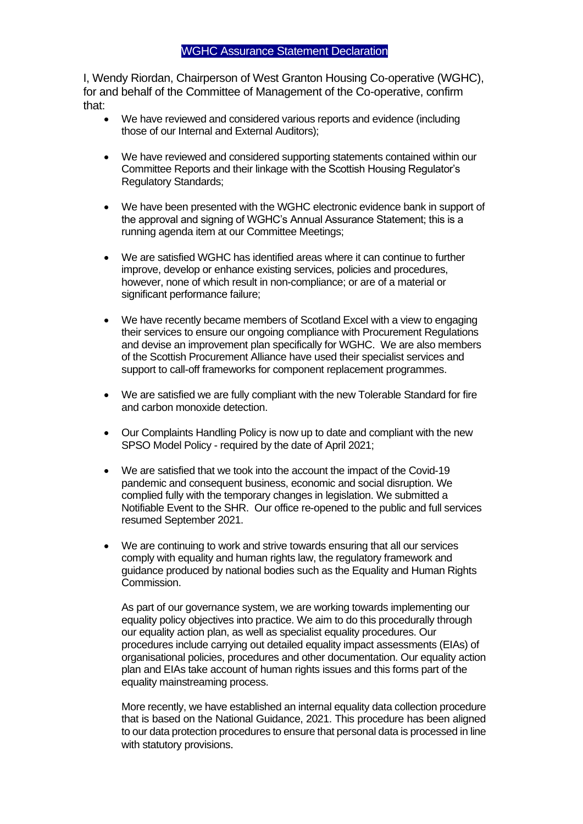I, Wendy Riordan, Chairperson of West Granton Housing Co-operative (WGHC), for and behalf of the Committee of Management of the Co-operative, confirm that:

- We have reviewed and considered various reports and evidence (including those of our Internal and External Auditors);
- We have reviewed and considered supporting statements contained within our Committee Reports and their linkage with the Scottish Housing Regulator's Regulatory Standards;
- We have been presented with the WGHC electronic evidence bank in support of the approval and signing of WGHC's Annual Assurance Statement; this is a running agenda item at our Committee Meetings;
- We are satisfied WGHC has identified areas where it can continue to further improve, develop or enhance existing services, policies and procedures, however, none of which result in non-compliance; or are of a material or significant performance failure;
- We have recently became members of Scotland Excel with a view to engaging their services to ensure our ongoing compliance with Procurement Regulations and devise an improvement plan specifically for WGHC. We are also members of the Scottish Procurement Alliance have used their specialist services and support to call-off frameworks for component replacement programmes.
- We are satisfied we are fully compliant with the new Tolerable Standard for fire and carbon monoxide detection.
- Our Complaints Handling Policy is now up to date and compliant with the new SPSO Model Policy - required by the date of April 2021;
- We are satisfied that we took into the account the impact of the Covid-19 pandemic and consequent business, economic and social disruption. We complied fully with the temporary changes in legislation. We submitted a Notifiable Event to the SHR. Our office re-opened to the public and full services resumed September 2021.
- We are continuing to work and strive towards ensuring that all our services comply with equality and human rights law, the regulatory framework and guidance produced by national bodies such as the Equality and Human Rights Commission.

As part of our governance system, we are working towards implementing our equality policy objectives into practice. We aim to do this procedurally through our equality action plan, as well as specialist equality procedures. Our procedures include carrying out detailed equality impact assessments (EIAs) of organisational policies, procedures and other documentation. Our equality action plan and EIAs take account of human rights issues and this forms part of the equality mainstreaming process.

More recently, we have established an internal equality data collection procedure that is based on the National Guidance, 2021. This procedure has been aligned to our data protection procedures to ensure that personal data is processed in line with statutory provisions.